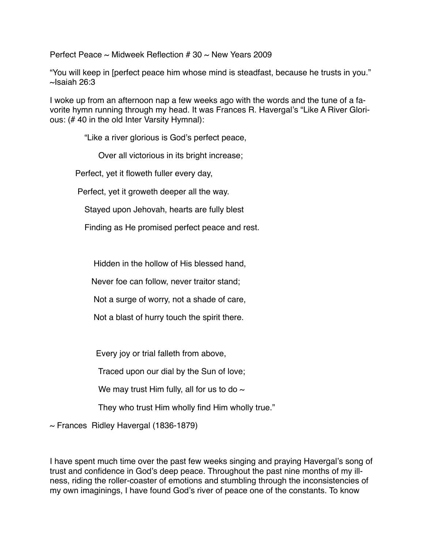Perfect Peace  $\sim$  Midweek Reflection # 30  $\sim$  New Years 2009

"You will keep in [perfect peace him whose mind is steadfast, because he trusts in you."  $\sim$ Isaiah 26:3

I woke up from an afternoon nap a few weeks ago with the words and the tune of a favorite hymn running through my head. It was Frances R. Havergal's "Like A River Glorious: (# 40 in the old Inter Varsity Hymnal):

"Like a river glorious is God's perfect peace,

Over all victorious in its bright increase;

Perfect, yet it floweth fuller every day,

Perfect, yet it groweth deeper all the way.

Stayed upon Jehovah, hearts are fully blest

Finding as He promised perfect peace and rest.

Hidden in the hollow of His blessed hand,

Never foe can follow, never traitor stand;

Not a surge of worry, not a shade of care,

Not a blast of hurry touch the spirit there.

Every joy or trial falleth from above,

Traced upon our dial by the Sun of love;

We may trust Him fully, all for us to do  $\sim$ 

They who trust Him wholly find Him wholly true."

 $\sim$  Frances Ridley Havergal (1836-1879)

I have spent much time over the past few weeks singing and praying Havergal's song of trust and confidence in God's deep peace. Throughout the past nine months of my illness, riding the roller-coaster of emotions and stumbling through the inconsistencies of my own imaginings, I have found God's river of peace one of the constants. To know